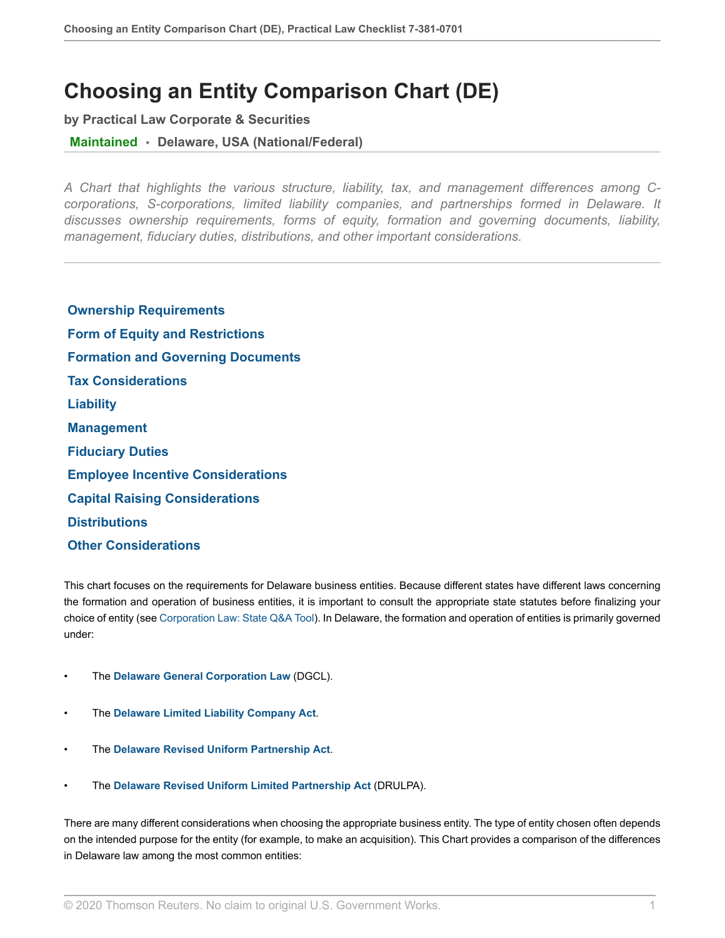# **Choosing an Entity Comparison Chart (DE)**

**by Practical Law Corporate & Securities**

**Maintained • Delaware, USA (National/Federal)**

*A Chart that highlights the various structure, liability, tax, and management differences among Ccorporations, S-corporations, limited liability companies, and partnerships formed in Delaware. It discusses ownership requirements, forms of equity, formation and governing documents, liability, management, fiduciary duties, distributions, and other important considerations.*

 **[Ownership Requirements](#page-2-0)  [Form of Equity and Restrictions](#page-3-0)  [Formation and Governing Documents](#page-4-0)  [Tax Considerations](#page-5-0)  [Liability](#page-6-0)  [Management](#page-7-0)  [Fiduciary Duties](#page-8-0)  [Employee Incentive Considerations](#page-10-0)  [Capital Raising Considerations](#page-11-0)  [Distributions](#page-12-0)  [Other Considerations](#page-14-0)**

This chart focuses on the requirements for Delaware business entities. Because different states have different laws concerning the formation and operation of business entities, it is important to consult the appropriate state statutes before finalizing your choice of entity (see [Corporation Law: State Q&A Tool](http://us.practicallaw.thomsonreuters.com/QACompare/Builder/State?originationContext=document&vr=3.0&rs=cblt1.0&transitionType=PLDocumentLink&contextData=(sc.RelatedInfo)#/topics/Corporation Law)). In Delaware, the formation and operation of entities is primarily governed under:

- The **[Delaware General Corporation Law](http://us.practicallaw.thomsonreuters.com/Document/I1559f765eef211e28578f7ccc38dcbee/View/FullText.html?originationContext=document&vr=3.0&rs=cblt1.0&transitionType=DocumentItem&contextData=(sc.RelatedInfo))** (DGCL).
- The **[Delaware Limited Liability Company Act](http://us.practicallaw.thomsonreuters.com/Document/I8d751034ef2a11e28578f7ccc38dcbee/View/FullText.html?originationContext=document&vr=3.0&rs=cblt1.0&transitionType=DocumentItem&contextData=(sc.RelatedInfo))**.
- The **[Delaware Revised Uniform Partnership Act](http://us.practicallaw.thomsonreuters.com/Document/Id4cf18b3f3ad11e28578f7ccc38dcbee/View/FullText.html?originationContext=document&vr=3.0&rs=cblt1.0&transitionType=DocumentItem&contextData=(sc.RelatedInfo))**.
- The **[Delaware Revised Uniform Limited Partnership Act](http://us.practicallaw.thomsonreuters.com/Document/Id4cf18f3f3ad11e28578f7ccc38dcbee/View/FullText.html?originationContext=document&vr=3.0&rs=cblt1.0&transitionType=DocumentItem&contextData=(sc.RelatedInfo))** (DRULPA).

There are many different considerations when choosing the appropriate business entity. The type of entity chosen often depends on the intended purpose for the entity (for example, to make an acquisition). This Chart provides a comparison of the differences in Delaware law among the most common entities: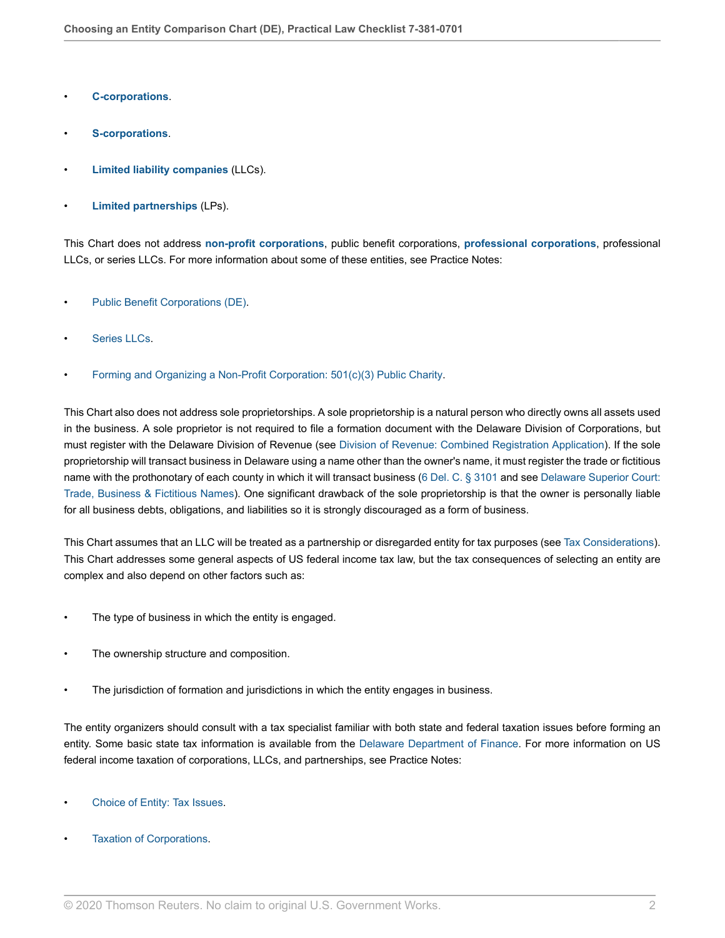- **[C-corporations](http://us.practicallaw.thomsonreuters.com/Document/I1559f740eef211e28578f7ccc38dcbee/View/FullText.html?originationContext=document&vr=3.0&rs=cblt1.0&transitionType=DocumentItem&contextData=(sc.RelatedInfo))**.
- **[S-corporations](http://us.practicallaw.thomsonreuters.com/Document/I1559f746eef211e28578f7ccc38dcbee/View/FullText.html?originationContext=document&vr=3.0&rs=cblt1.0&transitionType=DocumentItem&contextData=(sc.RelatedInfo))**.
- **[Limited liability companies](http://us.practicallaw.thomsonreuters.com/Document/I1559f742eef211e28578f7ccc38dcbee/View/FullText.html?originationContext=document&vr=3.0&rs=cblt1.0&transitionType=DocumentItem&contextData=(sc.RelatedInfo))** (LLCs).
- **[Limited partnerships](http://us.practicallaw.thomsonreuters.com/Document/I0fa03386ef0811e28578f7ccc38dcbee/View/FullText.html?originationContext=document&vr=3.0&rs=cblt1.0&transitionType=DocumentItem&contextData=(sc.RelatedInfo))** (LPs).

This Chart does not address **[non-profit corporations](http://us.practicallaw.thomsonreuters.com/Document/I61c40ff7677d11e598dc8b09b4f043e0/View/FullText.html?originationContext=document&vr=3.0&rs=cblt1.0&transitionType=DocumentItem&contextData=(sc.RelatedInfo))**, public benefit corporations, **[professional corporations](http://us.practicallaw.thomsonreuters.com/Document/Id4cf1942f3ad11e28578f7ccc38dcbee/View/FullText.html?originationContext=document&vr=3.0&rs=cblt1.0&transitionType=DocumentItem&contextData=(sc.RelatedInfo))**, professional LLCs, or series LLCs. For more information about some of these entities, see Practice Notes:

- [Public Benefit Corporations \(DE\).](http://us.practicallaw.thomsonreuters.com/Document/Ifb7134d4a68511e698dc8b09b4f043e0/View/FullText.html?originationContext=document&vr=3.0&rs=cblt1.0&transitionType=DocumentItem&contextData=(sc.RelatedInfo))
- [Series LLCs.](http://us.practicallaw.thomsonreuters.com/Document/I0f9fe72aef0811e28578f7ccc38dcbee/View/FullText.html?originationContext=document&vr=3.0&rs=cblt1.0&transitionType=DocumentItem&contextData=(sc.RelatedInfo))
- [Forming and Organizing a Non-Profit Corporation: 501\(c\)\(3\) Public Charity.](http://us.practicallaw.thomsonreuters.com/Document/Iae8ebea8048511e598db8b09b4f043e0/View/FullText.html?originationContext=document&vr=3.0&rs=cblt1.0&transitionType=DocumentItem&contextData=(sc.RelatedInfo))

This Chart also does not address sole proprietorships. A sole proprietorship is a natural person who directly owns all assets used in the business. A sole proprietor is not required to file a formation document with the Delaware Division of Corporations, but must register with the Delaware Division of Revenue (see [Division of Revenue: Combined Registration Application](https://revenuefiles.delaware.gov/docs/cra.pdf )). If the sole proprietorship will transact business in Delaware using a name other than the owner's name, it must register the trade or fictitious name with the prothonotary of each county in which it will transact business [\(6 Del. C. § 3101](http://us.practicallaw.thomsonreuters.com/Link/Document/FullText?findType=L&pubNum=1000005&cite=DESTT6S3101&originatingDoc=I0f9fc10cef0811e28578f7ccc38dcbee&refType=LQ&originationContext=document&vr=3.0&rs=cblt1.0&transitionType=PLDocumentLink&billingHash=BC7983DA1EA0ACBCCC3B4C4807F2731D24D88A5F47EC5D6E9389BB97F2CC6226&contextData=(sc.RelatedInfo)) and see [Delaware Superior Court:](https://courts.delaware.gov/superior/trade_names.aspx ) [Trade, Business & Fictitious Names\)](https://courts.delaware.gov/superior/trade_names.aspx ). One significant drawback of the sole proprietorship is that the owner is personally liable for all business debts, obligations, and liabilities so it is strongly discouraged as a form of business.

This Chart assumes that an LLC will be treated as a partnership or disregarded entity for tax purposes (see [Tax Considerations\)](#page-5-0). This Chart addresses some general aspects of US federal income tax law, but the tax consequences of selecting an entity are complex and also depend on other factors such as:

- The type of business in which the entity is engaged.
- The ownership structure and composition.
- The jurisdiction of formation and jurisdictions in which the entity engages in business.

The entity organizers should consult with a tax specialist familiar with both state and federal taxation issues before forming an entity. Some basic state tax information is available from the [Delaware Department of Finance.](https://finance.delaware.gov/ ) For more information on US federal income taxation of corporations, LLCs, and partnerships, see Practice Notes:

- [Choice of Entity: Tax Issues](http://us.practicallaw.thomsonreuters.com/Document/I1559f74aeef211e28578f7ccc38dcbee/View/FullText.html?originationContext=document&vr=3.0&rs=cblt1.0&transitionType=DocumentItem&contextData=(sc.RelatedInfo)).
- [Taxation of Corporations](http://us.practicallaw.thomsonreuters.com/Document/I0f9fbf03ef0811e28578f7ccc38dcbee/View/FullText.html?originationContext=document&vr=3.0&rs=cblt1.0&transitionType=DocumentItem&contextData=(sc.RelatedInfo)).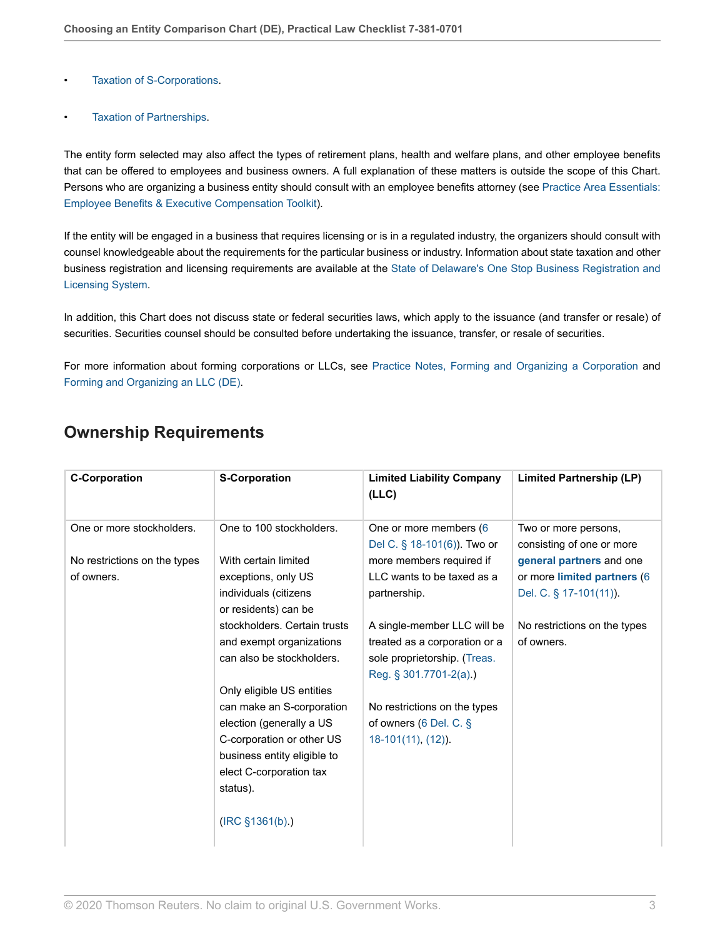- [Taxation of S-Corporations](http://us.practicallaw.thomsonreuters.com/Document/I3dee3f4cd17111e398db8b09b4f043e0/View/FullText.html?originationContext=document&vr=3.0&rs=cblt1.0&transitionType=DocumentItem&contextData=(sc.RelatedInfo)).
- [Taxation of Partnerships](http://us.practicallaw.thomsonreuters.com/Document/I8a027113737d11e598dc8b09b4f043e0/View/FullText.html?originationContext=document&vr=3.0&rs=cblt1.0&transitionType=DocumentItem&contextData=(sc.RelatedInfo)).

The entity form selected may also affect the types of retirement plans, health and welfare plans, and other employee benefits that can be offered to employees and business owners. A full explanation of these matters is outside the scope of this Chart. Persons who are organizing a business entity should consult with an employee benefits attorney (see [Practice Area Essentials:](http://us.practicallaw.thomsonreuters.com/Document/I286f0cce93f311e598dc8b09b4f043e0/View/FullText.html?originationContext=document&vr=3.0&rs=cblt1.0&transitionType=DocumentItem&contextData=(sc.RelatedInfo)) [Employee Benefits & Executive Compensation Toolkit](http://us.practicallaw.thomsonreuters.com/Document/I286f0cce93f311e598dc8b09b4f043e0/View/FullText.html?originationContext=document&vr=3.0&rs=cblt1.0&transitionType=DocumentItem&contextData=(sc.RelatedInfo))).

If the entity will be engaged in a business that requires licensing or is in a regulated industry, the organizers should consult with counsel knowledgeable about the requirements for the particular business or industry. Information about state taxation and other business registration and licensing requirements are available at the [State of Delaware's One Stop Business Registration and](https://onestop.delaware.gov/osbrlpublic/Home.jsp ) [Licensing System](https://onestop.delaware.gov/osbrlpublic/Home.jsp ).

In addition, this Chart does not discuss state or federal securities laws, which apply to the issuance (and transfer or resale) of securities. Securities counsel should be consulted before undertaking the issuance, transfer, or resale of securities.

For more information about forming corporations or LLCs, see [Practice Notes, Forming and Organizing a Corporation](http://us.practicallaw.thomsonreuters.com/Document/I0f9fc109ef0811e28578f7ccc38dcbee/View/FullText.html?originationContext=document&vr=3.0&rs=cblt1.0&transitionType=DocumentItem&contextData=(sc.RelatedInfo)) and [Forming and Organizing an LLC \(DE\).](http://us.practicallaw.thomsonreuters.com/Document/I935df36964d411e698dc8b09b4f043e0/View/FullText.html?originationContext=document&vr=3.0&rs=cblt1.0&transitionType=DocumentItem&contextData=(sc.RelatedInfo))

### <span id="page-2-0"></span>**Ownership Requirements**

| <b>C-Corporation</b>         | <b>S-Corporation</b>         | <b>Limited Liability Company</b><br>(LLC) | <b>Limited Partnership (LP)</b> |
|------------------------------|------------------------------|-------------------------------------------|---------------------------------|
| One or more stockholders.    | One to 100 stockholders.     | One or more members (6                    | Two or more persons,            |
|                              |                              | Del C. § 18-101(6)). Two or               | consisting of one or more       |
| No restrictions on the types | With certain limited         | more members required if                  | general partners and one        |
| of owners.                   | exceptions, only US          | LLC wants to be taxed as a                | or more limited partners (6     |
|                              | individuals (citizens        | partnership.                              | Del. C. § 17-101(11)).          |
|                              | or residents) can be         |                                           |                                 |
|                              | stockholders. Certain trusts | A single-member LLC will be               | No restrictions on the types    |
|                              | and exempt organizations     | treated as a corporation or a             | of owners.                      |
|                              | can also be stockholders.    | sole proprietorship. (Treas.              |                                 |
|                              |                              | Reg. § 301.7701-2(a).)                    |                                 |
|                              | Only eligible US entities    |                                           |                                 |
|                              | can make an S-corporation    | No restrictions on the types              |                                 |
|                              | election (generally a US     | of owners (6 Del. C. §                    |                                 |
|                              | C-corporation or other US    | 18-101(11), (12)).                        |                                 |
|                              | business entity eligible to  |                                           |                                 |
|                              | elect C-corporation tax      |                                           |                                 |
|                              | status).                     |                                           |                                 |
|                              | (IRC \$1361(b))              |                                           |                                 |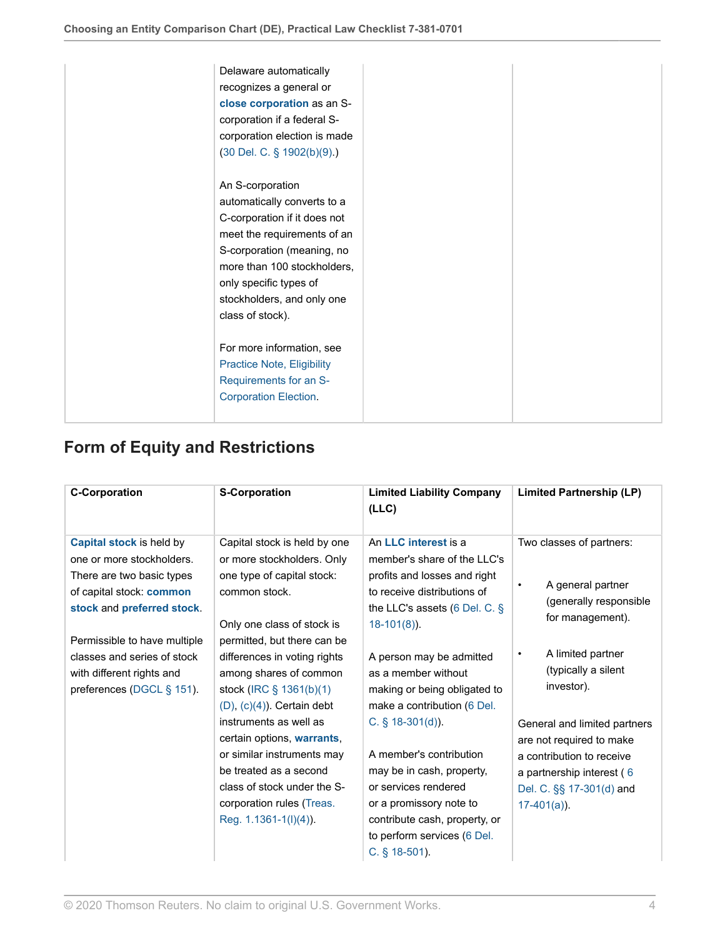| Delaware automatically<br>recognizes a general or<br>close corporation as an S-<br>corporation if a federal S-<br>corporation election is made<br>$(30$ Del. C. § $1902(b)(9)$ .)                                                                       |  |
|---------------------------------------------------------------------------------------------------------------------------------------------------------------------------------------------------------------------------------------------------------|--|
| An S-corporation<br>automatically converts to a<br>C-corporation if it does not<br>meet the requirements of an<br>S-corporation (meaning, no<br>more than 100 stockholders,<br>only specific types of<br>stockholders, and only one<br>class of stock). |  |
| For more information, see<br><b>Practice Note, Eligibility</b><br>Requirements for an S-<br><b>Corporation Election.</b>                                                                                                                                |  |

## <span id="page-3-0"></span>**Form of Equity and Restrictions**

| An LLC interest is a<br>Two classes of partners:<br>member's share of the LLC's<br>profits and losses and right<br>A general partner<br>٠<br>to receive distributions of<br>(generally responsible<br>the LLC's assets (6 Del. C. $\S$<br>for management).<br>A limited partner<br>٠<br>A person may be admitted<br>(typically a silent<br>as a member without<br>investor).<br>making or being obligated to<br>make a contribution (6 Del.<br>General and limited partners<br>are not required to make<br>A member's contribution<br>a contribution to receive<br>may be in cash, property,<br>a partnership interest (6<br>or services rendered<br>Del. C. §§ 17-301(d) and<br>or a promissory note to<br>$17-401(a)$ ).<br>contribute cash, property, or<br>to perform services (6 Del. |
|--------------------------------------------------------------------------------------------------------------------------------------------------------------------------------------------------------------------------------------------------------------------------------------------------------------------------------------------------------------------------------------------------------------------------------------------------------------------------------------------------------------------------------------------------------------------------------------------------------------------------------------------------------------------------------------------------------------------------------------------------------------------------------------------|
|                                                                                                                                                                                                                                                                                                                                                                                                                                                                                                                                                                                                                                                                                                                                                                                            |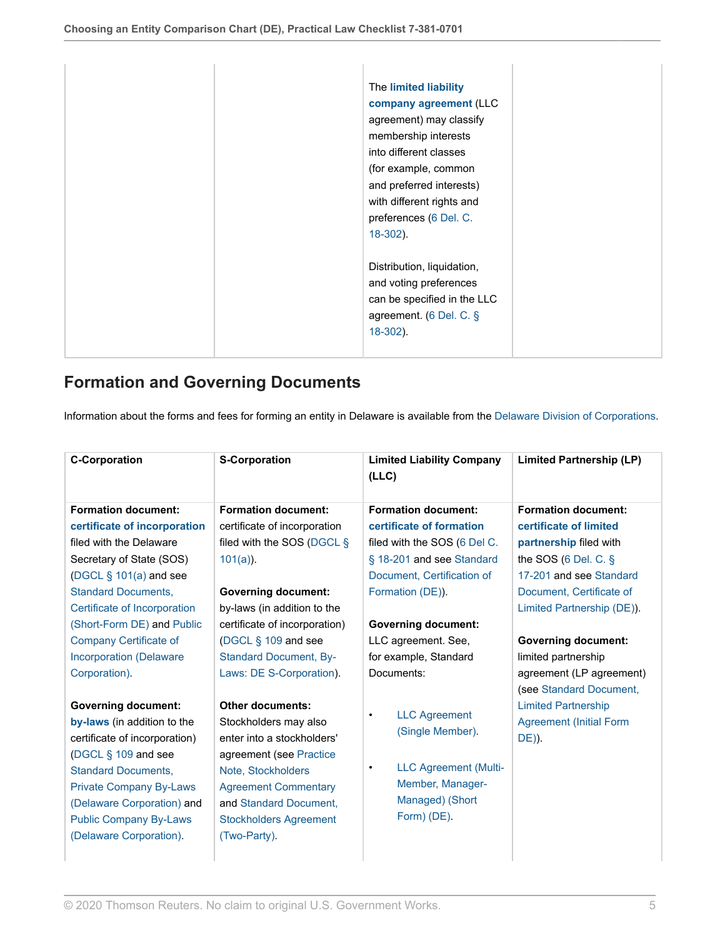| The limited liability<br>company agreement (LLC<br>agreement) may classify<br>membership interests<br>into different classes<br>(for example, common<br>and preferred interests)<br>with different rights and<br>preferences (6 Del. C.<br>$18-302$ ). |
|--------------------------------------------------------------------------------------------------------------------------------------------------------------------------------------------------------------------------------------------------------|
| Distribution, liquidation,<br>and voting preferences<br>can be specified in the LLC<br>agreement. (6 Del. C. §<br>$18-302$ ).                                                                                                                          |

### <span id="page-4-0"></span>**Formation and Governing Documents**

Information about the forms and fees for forming an entity in Delaware is available from the [Delaware Division of Corporations.](https://corp.delaware.gov/ )

| <b>C-Corporation</b>                                                                                                                                                                                                                                                                       | <b>S-Corporation</b>                                                                                                                                                                                                                                                                   | <b>Limited Liability Company</b><br>(LLC)                                                                                                                                                      | <b>Limited Partnership (LP)</b>                                                                                                                                                                                 |
|--------------------------------------------------------------------------------------------------------------------------------------------------------------------------------------------------------------------------------------------------------------------------------------------|----------------------------------------------------------------------------------------------------------------------------------------------------------------------------------------------------------------------------------------------------------------------------------------|------------------------------------------------------------------------------------------------------------------------------------------------------------------------------------------------|-----------------------------------------------------------------------------------------------------------------------------------------------------------------------------------------------------------------|
| <b>Formation document:</b><br>certificate of incorporation<br>filed with the Delaware<br>Secretary of State (SOS)<br>(DGCL § 101(a) and see<br><b>Standard Documents,</b>                                                                                                                  | <b>Formation document:</b><br>certificate of incorporation<br>filed with the SOS (DGCL §<br>$101(a)$ ).<br><b>Governing document:</b>                                                                                                                                                  | <b>Formation document:</b><br>certificate of formation<br>filed with the SOS (6 Del C.<br>§ 18-201 and see Standard<br>Document, Certification of<br>Formation (DE)).                          | <b>Formation document:</b><br>certificate of limited<br>partnership filed with<br>the SOS $(6$ Del. C. $§$<br>17-201 and see Standard<br>Document, Certificate of                                               |
| Certificate of Incorporation<br>(Short-Form DE) and Public<br>Company Certificate of<br><b>Incorporation (Delaware</b><br>Corporation).<br><b>Governing document:</b><br>by-laws (in addition to the<br>certificate of incorporation)<br>(DGCL § 109 and see<br><b>Standard Documents,</b> | by-laws (in addition to the<br>certificate of incorporation)<br>(DGCL $\S$ 109 and see<br><b>Standard Document, By-</b><br>Laws: DE S-Corporation).<br><b>Other documents:</b><br>Stockholders may also<br>enter into a stockholders'<br>agreement (see Practice<br>Note, Stockholders | <b>Governing document:</b><br>LLC agreement. See,<br>for example, Standard<br>Documents:<br><b>LLC Agreement</b><br>$\bullet$<br>(Single Member).<br><b>LLC Agreement (Multi-</b><br>$\bullet$ | Limited Partnership (DE)).<br><b>Governing document:</b><br>limited partnership<br>agreement (LP agreement)<br>(see Standard Document,<br><b>Limited Partnership</b><br><b>Agreement (Initial Form</b><br>DE)). |
| <b>Private Company By-Laws</b><br>(Delaware Corporation) and<br><b>Public Company By-Laws</b><br>(Delaware Corporation).                                                                                                                                                                   | <b>Agreement Commentary</b><br>and Standard Document,<br><b>Stockholders Agreement</b><br>(Two-Party).                                                                                                                                                                                 | Member, Manager-<br>Managed) (Short<br>Form) (DE).                                                                                                                                             |                                                                                                                                                                                                                 |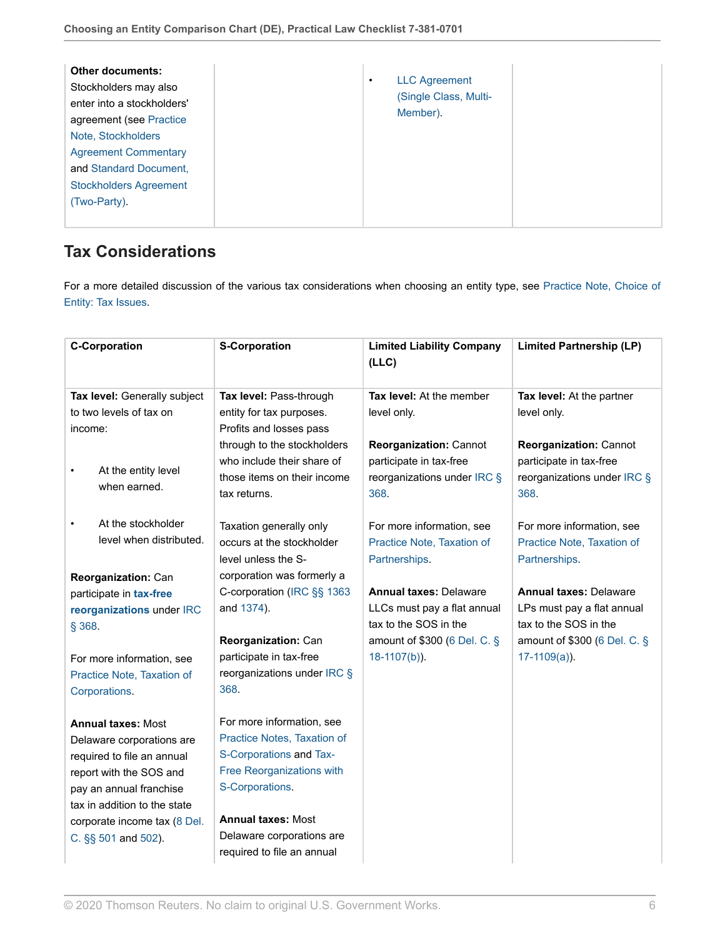| Member). |
|----------|
|----------|

### <span id="page-5-0"></span>**Tax Considerations**

For a more detailed discussion of the various tax considerations when choosing an entity type, see [Practice Note, Choice of](http://us.practicallaw.thomsonreuters.com/Document/I1559f74aeef211e28578f7ccc38dcbee/View/FullText.html?originationContext=document&vr=3.0&rs=cblt1.0&transitionType=DocumentItem&contextData=(sc.RelatedInfo)) [Entity: Tax Issues.](http://us.practicallaw.thomsonreuters.com/Document/I1559f74aeef211e28578f7ccc38dcbee/View/FullText.html?originationContext=document&vr=3.0&rs=cblt1.0&transitionType=DocumentItem&contextData=(sc.RelatedInfo))

| <b>C-Corporation</b>                                                     | <b>S-Corporation</b>                                                                                     | <b>Limited Liability Company</b><br>(LLC)                                                       | <b>Limited Partnership (LP)</b>                                                                 |
|--------------------------------------------------------------------------|----------------------------------------------------------------------------------------------------------|-------------------------------------------------------------------------------------------------|-------------------------------------------------------------------------------------------------|
| Tax level: Generally subject                                             | Tax level: Pass-through                                                                                  | Tax level: At the member                                                                        | Tax level: At the partner                                                                       |
| to two levels of tax on                                                  | entity for tax purposes.                                                                                 | level only.                                                                                     | level only.                                                                                     |
| income:                                                                  | Profits and losses pass                                                                                  |                                                                                                 |                                                                                                 |
| At the entity level<br>$\bullet$<br>when earned.                         | through to the stockholders<br>who include their share of<br>those items on their income<br>tax returns. | <b>Reorganization: Cannot</b><br>participate in tax-free<br>reorganizations under IRC §<br>368. | <b>Reorganization: Cannot</b><br>participate in tax-free<br>reorganizations under IRC §<br>368. |
| At the stockholder<br>level when distributed.                            | Taxation generally only<br>occurs at the stockholder<br>level unless the S-                              | For more information, see<br>Practice Note, Taxation of<br>Partnerships.                        | For more information, see<br>Practice Note, Taxation of<br>Partnerships.                        |
| Reorganization: Can                                                      | corporation was formerly a                                                                               |                                                                                                 |                                                                                                 |
| participate in tax-free                                                  | C-corporation (IRC §§ 1363                                                                               | <b>Annual taxes: Delaware</b>                                                                   | <b>Annual taxes: Delaware</b>                                                                   |
| reorganizations under IRC                                                | and 1374).                                                                                               | LLCs must pay a flat annual<br>tax to the SOS in the                                            | LPs must pay a flat annual<br>tax to the SOS in the                                             |
| § 368.                                                                   | <b>Reorganization: Can</b>                                                                               | amount of \$300 (6 Del. C. §                                                                    | amount of \$300 (6 Del. C. §                                                                    |
| For more information, see<br>Practice Note, Taxation of<br>Corporations. | participate in tax-free<br>reorganizations under IRC §<br>368.                                           | $18-1107(b)$ ).                                                                                 | $17-1109(a)$ ).                                                                                 |
| <b>Annual taxes: Most</b>                                                | For more information, see                                                                                |                                                                                                 |                                                                                                 |
| Delaware corporations are                                                | Practice Notes, Taxation of                                                                              |                                                                                                 |                                                                                                 |
| required to file an annual                                               | S-Corporations and Tax-                                                                                  |                                                                                                 |                                                                                                 |
| report with the SOS and                                                  | Free Reorganizations with                                                                                |                                                                                                 |                                                                                                 |
| pay an annual franchise                                                  | S-Corporations.                                                                                          |                                                                                                 |                                                                                                 |
| tax in addition to the state                                             |                                                                                                          |                                                                                                 |                                                                                                 |
| corporate income tax (8 Del.                                             | <b>Annual taxes: Most</b>                                                                                |                                                                                                 |                                                                                                 |
| C. §§ 501 and 502).                                                      | Delaware corporations are<br>required to file an annual                                                  |                                                                                                 |                                                                                                 |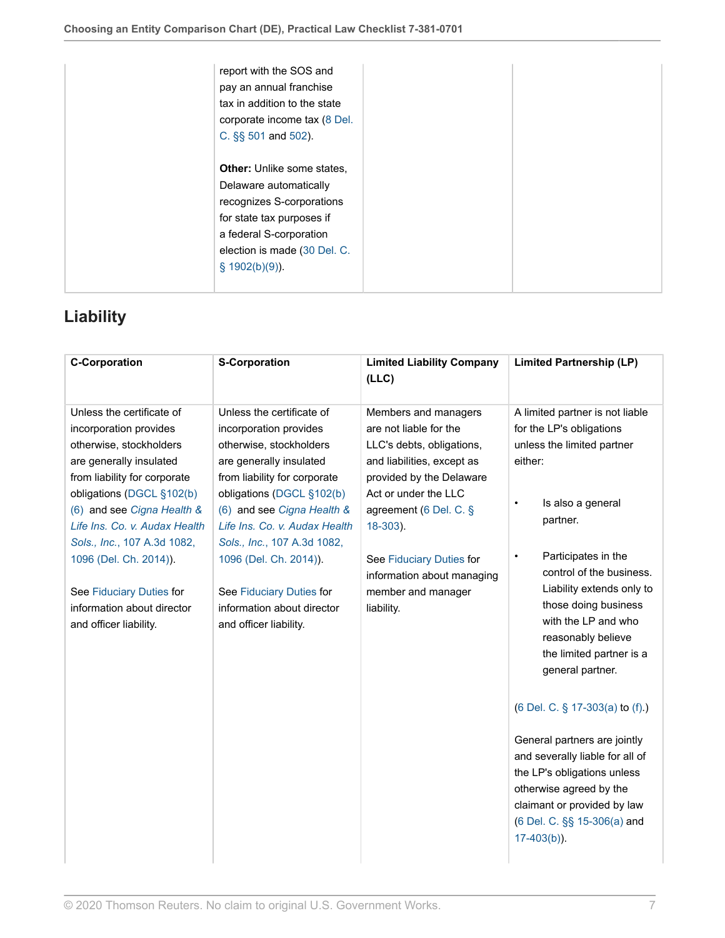| report with the SOS and<br>pay an annual franchise<br>tax in addition to the state<br>corporate income tax (8 Del.<br>C. §§ 501 and 502). |  |
|-------------------------------------------------------------------------------------------------------------------------------------------|--|
| <b>Other:</b> Unlike some states,<br>Delaware automatically                                                                               |  |
| recognizes S-corporations<br>for state tax purposes if                                                                                    |  |
| a federal S-corporation                                                                                                                   |  |
| election is made (30 Del. C.<br>$$1902(b)(9)$ ).                                                                                          |  |

## <span id="page-6-0"></span>**Liability**

| <b>C-Corporation</b>                                      | <b>S-Corporation</b>                                      | <b>Limited Liability Company</b><br>(LLC)        | <b>Limited Partnership (LP)</b>                                 |
|-----------------------------------------------------------|-----------------------------------------------------------|--------------------------------------------------|-----------------------------------------------------------------|
| Unless the certificate of                                 | Unless the certificate of                                 | Members and managers                             | A limited partner is not liable                                 |
| incorporation provides                                    | incorporation provides                                    | are not liable for the                           | for the LP's obligations                                        |
| otherwise, stockholders                                   | otherwise, stockholders                                   | LLC's debts, obligations,                        | unless the limited partner                                      |
| are generally insulated                                   | are generally insulated                                   | and liabilities, except as                       | either:                                                         |
| from liability for corporate<br>obligations (DGCL §102(b) | from liability for corporate<br>obligations (DGCL §102(b) | provided by the Delaware<br>Act or under the LLC |                                                                 |
| (6) and see Cigna Health &                                | (6) and see Cigna Health &                                | agreement (6 Del. C. §                           | Is also a general<br>$\bullet$                                  |
| Life Ins. Co. v. Audax Health                             | Life Ins. Co. v. Audax Health                             | 18-303).                                         | partner.                                                        |
| Sols., Inc., 107 A.3d 1082,                               | Sols., Inc., 107 A.3d 1082,                               |                                                  |                                                                 |
| 1096 (Del. Ch. 2014)).                                    | 1096 (Del. Ch. 2014)).                                    | See Fiduciary Duties for                         | Participates in the<br>$\bullet$                                |
|                                                           |                                                           | information about managing                       | control of the business.                                        |
| See Fiduciary Duties for                                  | See Fiduciary Duties for                                  | member and manager                               | Liability extends only to                                       |
| information about director                                | information about director                                | liability.                                       | those doing business                                            |
| and officer liability.                                    | and officer liability.                                    |                                                  | with the LP and who                                             |
|                                                           |                                                           |                                                  | reasonably believe                                              |
|                                                           |                                                           |                                                  | the limited partner is a<br>general partner.                    |
|                                                           |                                                           |                                                  |                                                                 |
|                                                           |                                                           |                                                  | (6 Del. C. § 17-303(a) to (f).)                                 |
|                                                           |                                                           |                                                  |                                                                 |
|                                                           |                                                           |                                                  | General partners are jointly<br>and severally liable for all of |
|                                                           |                                                           |                                                  | the LP's obligations unless                                     |
|                                                           |                                                           |                                                  | otherwise agreed by the                                         |
|                                                           |                                                           |                                                  | claimant or provided by law                                     |
|                                                           |                                                           |                                                  | (6 Del. C. §§ 15-306(a) and                                     |
|                                                           |                                                           |                                                  | $17-403(b)$ ).                                                  |
|                                                           |                                                           |                                                  |                                                                 |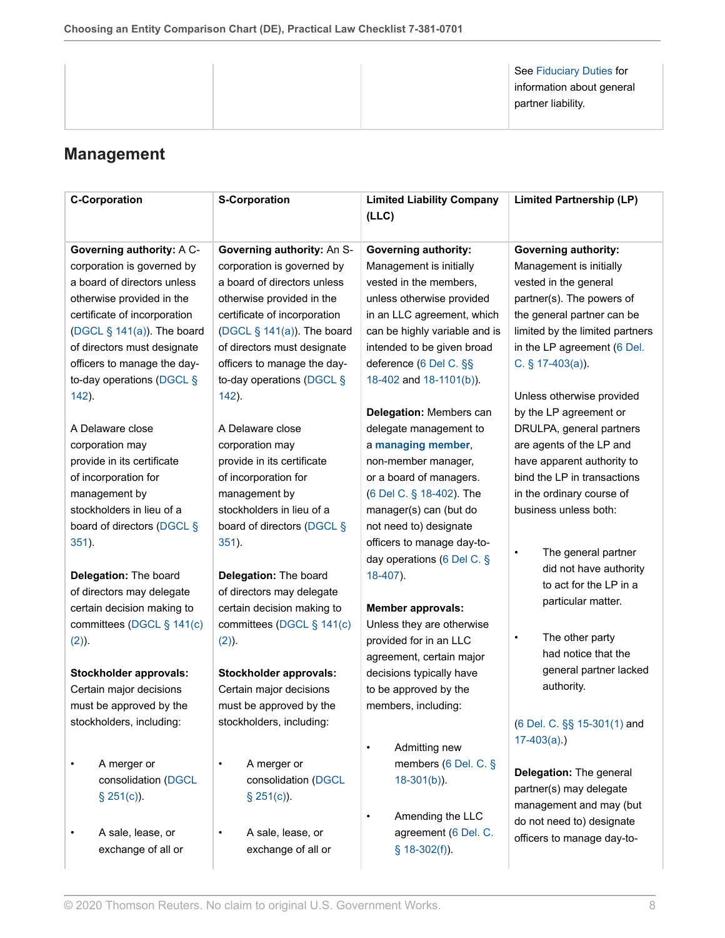| information about general<br>partner liability. |
|-------------------------------------------------|
|-------------------------------------------------|

## <span id="page-7-0"></span>**Management**

| <b>C-Corporation</b>          | <b>S-Corporation</b>          | <b>Limited Liability Company</b><br>(LLC) | <b>Limited Partnership (LP)</b>  |
|-------------------------------|-------------------------------|-------------------------------------------|----------------------------------|
| Governing authority: A C-     | Governing authority: An S-    | <b>Governing authority:</b>               | <b>Governing authority:</b>      |
| corporation is governed by    | corporation is governed by    | Management is initially                   | Management is initially          |
| a board of directors unless   | a board of directors unless   | vested in the members,                    | vested in the general            |
| otherwise provided in the     | otherwise provided in the     | unless otherwise provided                 | partner(s). The powers of        |
| certificate of incorporation  | certificate of incorporation  | in an LLC agreement, which                | the general partner can be       |
| (DGCL $\S$ 141(a)). The board | (DGCL $\S$ 141(a)). The board | can be highly variable and is             | limited by the limited partners  |
| of directors must designate   | of directors must designate   | intended to be given broad                | in the LP agreement (6 Del.      |
| officers to manage the day-   | officers to manage the day-   | deference (6 Del C. §§                    | C. $§$ 17-403(a)).               |
| to-day operations (DGCL §     | to-day operations (DGCL §     | 18-402 and 18-1101(b)).                   |                                  |
| 142).                         | 142).                         |                                           | Unless otherwise provided        |
|                               |                               | Delegation: Members can                   | by the LP agreement or           |
| A Delaware close              | A Delaware close              | delegate management to                    | DRULPA, general partners         |
| corporation may               | corporation may               | a managing member,                        | are agents of the LP and         |
| provide in its certificate    | provide in its certificate    | non-member manager,                       | have apparent authority to       |
| of incorporation for          | of incorporation for          | or a board of managers.                   | bind the LP in transactions      |
| management by                 | management by                 | (6 Del C. § 18-402). The                  | in the ordinary course of        |
| stockholders in lieu of a     | stockholders in lieu of a     | manager(s) can (but do                    | business unless both:            |
| board of directors (DGCL §    | board of directors (DGCL §    | not need to) designate                    |                                  |
| 351).                         | 351).                         | officers to manage day-to-                |                                  |
|                               |                               | day operations (6 Del C. §                | The general partner<br>$\bullet$ |
| Delegation: The board         | Delegation: The board         | 18-407).                                  | did not have authority           |
| of directors may delegate     | of directors may delegate     |                                           | to act for the LP in a           |
| certain decision making to    | certain decision making to    | <b>Member approvals:</b>                  | particular matter.               |
| committees (DGCL § 141(c)     | committees (DGCL § 141(c)     | Unless they are otherwise                 |                                  |
| (2).                          | $(2)$ ).                      | provided for in an LLC                    | The other party<br>$\bullet$     |
|                               |                               | agreement, certain major                  | had notice that the              |
| Stockholder approvals:        | Stockholder approvals:        | decisions typically have                  | general partner lacked           |
| Certain major decisions       | Certain major decisions       | to be approved by the                     | authority.                       |
| must be approved by the       | must be approved by the       | members, including:                       |                                  |
| stockholders, including:      | stockholders, including:      |                                           | (6 Del. C. §§ 15-301(1) and      |
|                               |                               |                                           | $17-403(a)$ .)                   |
|                               |                               | Admitting new<br>$\bullet$                |                                  |
| A merger or                   | A merger or<br>$\bullet$      | members (6 Del. C. §                      | Delegation: The general          |
| consolidation (DGCL           | consolidation (DGCL           | $18-301(b)$ ).                            | partner(s) may delegate          |
| $\S$ 251(c)).                 | $$251(c)$ ).                  |                                           | management and may (but          |
|                               |                               | Amending the LLC                          | do not need to) designate        |
| A sale, lease, or             | A sale, lease, or<br>٠        | agreement (6 Del. C.                      | officers to manage day-to-       |
| exchange of all or            | exchange of all or            | $§$ 18-302(f)).                           |                                  |
|                               |                               |                                           |                                  |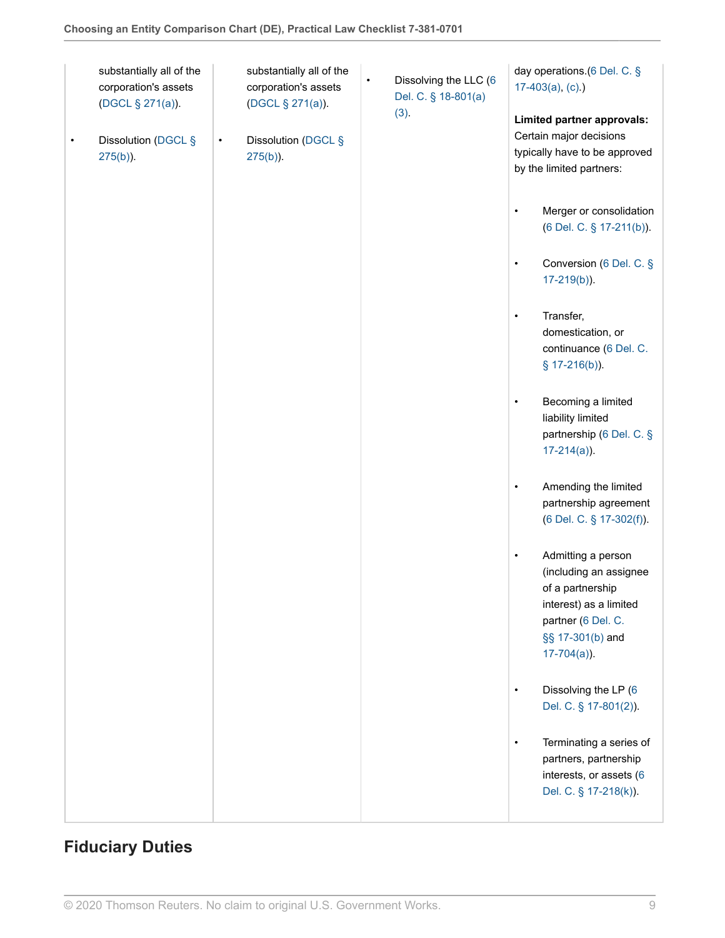| substantially all of the<br>corporation's assets<br>(DGCL § 271(a)). | substantially all of the<br>corporation's assets<br>(DGCL § 271(a)). | Dissolving the LLC (6<br>$\bullet$<br>Del. C. § 18-801(a)<br>(3). | day operations.(6 Del. C. §<br>$17-403(a), (c)$ .)<br>Limited partner approvals:                                                                                    |
|----------------------------------------------------------------------|----------------------------------------------------------------------|-------------------------------------------------------------------|---------------------------------------------------------------------------------------------------------------------------------------------------------------------|
| Dissolution (DGCL §<br>$\bullet$<br>$275(b)$ ).                      | Dissolution (DGCL §<br>$\bullet$<br>$275(b)$ ).                      |                                                                   | Certain major decisions<br>typically have to be approved<br>by the limited partners:                                                                                |
|                                                                      |                                                                      |                                                                   | Merger or consolidation<br>$\bullet$<br>(6 Del. C. § 17-211(b)).                                                                                                    |
|                                                                      |                                                                      |                                                                   | Conversion (6 Del. C. §<br>$\bullet$<br>$17-219(b)$ ).                                                                                                              |
|                                                                      |                                                                      |                                                                   | Transfer,<br>$\bullet$<br>domestication, or<br>continuance (6 Del. C.<br>$$17-216(b)$ ).                                                                            |
|                                                                      |                                                                      |                                                                   | Becoming a limited<br>$\bullet$<br>liability limited<br>partnership (6 Del. C. §<br>$17-214(a)$ ).                                                                  |
|                                                                      |                                                                      |                                                                   | Amending the limited<br>$\bullet$<br>partnership agreement<br>(6 Del. C. § 17-302(f)).                                                                              |
|                                                                      |                                                                      |                                                                   | Admitting a person<br>$\bullet$<br>(including an assignee<br>of a partnership<br>interest) as a limited<br>partner (6 Del. C.<br>§§ 17-301(b) and<br>$17-704(a)$ ). |
|                                                                      |                                                                      |                                                                   | Dissolving the LP (6<br>$\bullet$<br>Del. C. § 17-801(2)).                                                                                                          |
|                                                                      |                                                                      |                                                                   | Terminating a series of<br>$\bullet$<br>partners, partnership<br>interests, or assets (6<br>Del. C. § 17-218(k)).                                                   |

# <span id="page-8-0"></span>**Fiduciary Duties**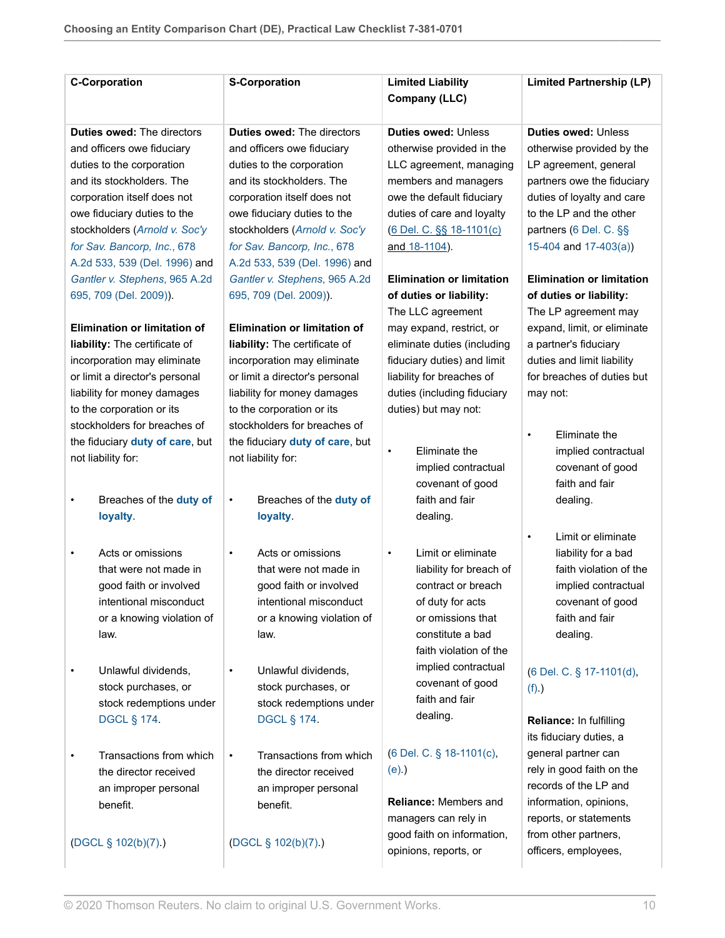| <b>C-Corporation</b>                | <b>S-Corporation</b>                 | <b>Limited Liability</b><br>Company (LLC) | <b>Limited Partnership (LP)</b>  |
|-------------------------------------|--------------------------------------|-------------------------------------------|----------------------------------|
| <b>Duties owed: The directors</b>   | <b>Duties owed: The directors</b>    | <b>Duties owed: Unless</b>                | <b>Duties owed: Unless</b>       |
| and officers owe fiduciary          | and officers owe fiduciary           | otherwise provided in the                 | otherwise provided by the        |
| duties to the corporation           | duties to the corporation            | LLC agreement, managing                   | LP agreement, general            |
| and its stockholders. The           | and its stockholders. The            | members and managers                      | partners owe the fiduciary       |
| corporation itself does not         | corporation itself does not          | owe the default fiduciary                 | duties of loyalty and care       |
| owe fiduciary duties to the         | owe fiduciary duties to the          | duties of care and loyalty                | to the LP and the other          |
| stockholders (Arnold v. Soc'y       | stockholders (Arnold v. Soc'y        | (6 Del. C. §§ 18-1101(c)                  | partners (6 Del. C. §§           |
| for Sav. Bancorp, Inc., 678         | for Sav. Bancorp, Inc., 678          | and 18-1104).                             | 15-404 and $17-403(a)$ )         |
| A.2d 533, 539 (Del. 1996) and       | A.2d 533, 539 (Del. 1996) and        |                                           |                                  |
| Gantler v. Stephens, 965 A.2d       | Gantler v. Stephens, 965 A.2d        | <b>Elimination or limitation</b>          | <b>Elimination or limitation</b> |
| 695, 709 (Del. 2009)).              | 695, 709 (Del. 2009)).               | of duties or liability:                   | of duties or liability:          |
|                                     |                                      | The LLC agreement                         | The LP agreement may             |
| <b>Elimination or limitation of</b> | <b>Elimination or limitation of</b>  | may expand, restrict, or                  | expand, limit, or eliminate      |
| liability: The certificate of       | liability: The certificate of        | eliminate duties (including               | a partner's fiduciary            |
| incorporation may eliminate         | incorporation may eliminate          | fiduciary duties) and limit               | duties and limit liability       |
| or limit a director's personal      | or limit a director's personal       | liability for breaches of                 | for breaches of duties but       |
| liability for money damages         | liability for money damages          | duties (including fiduciary               | may not:                         |
| to the corporation or its           | to the corporation or its            | duties) but may not:                      |                                  |
| stockholders for breaches of        | stockholders for breaches of         |                                           | Eliminate the<br>$\bullet$       |
| the fiduciary duty of care, but     | the fiduciary duty of care, but      | Eliminate the<br>$\bullet$                | implied contractual              |
| not liability for:                  | not liability for:                   | implied contractual                       | covenant of good                 |
|                                     |                                      | covenant of good                          | faith and fair                   |
| Breaches of the duty of<br>٠        | Breaches of the duty of<br>$\bullet$ | faith and fair                            | dealing.                         |
| loyalty.                            | loyalty.                             | dealing.                                  |                                  |
|                                     |                                      |                                           | Limit or eliminate<br>$\bullet$  |
| Acts or omissions                   | Acts or omissions<br>$\bullet$       | Limit or eliminate<br>$\bullet$           | liability for a bad              |
| that were not made in               | that were not made in                | liability for breach of                   | faith violation of the           |
| good faith or involved              | good faith or involved               | contract or breach                        | implied contractual              |
| intentional misconduct              | intentional misconduct               | of duty for acts                          | covenant of good                 |
| or a knowing violation of           | or a knowing violation of            | or omissions that                         | faith and fair                   |
| law.                                | law.                                 | constitute a bad                          | dealing.                         |
|                                     |                                      | faith violation of the                    |                                  |
| Unlawful dividends,                 | Unlawful dividends,                  | implied contractual                       | (6 Del. C. § 17-1101(d),         |
| stock purchases, or                 | stock purchases, or                  | covenant of good                          | $(f)$ )                          |
| stock redemptions under             | stock redemptions under              | faith and fair                            |                                  |
| <b>DGCL § 174.</b>                  | <b>DGCL § 174.</b>                   | dealing.                                  | Reliance: In fulfilling          |
|                                     |                                      |                                           | its fiduciary duties, a          |
| Transactions from which             | Transactions from which<br>$\bullet$ | (6 Del. C. § 18-1101(c),                  | general partner can              |
| the director received               | the director received                | $(e)$ )                                   | rely in good faith on the        |
| an improper personal                | an improper personal                 |                                           | records of the LP and            |
| benefit.                            | benefit.                             | Reliance: Members and                     | information, opinions,           |
|                                     |                                      | managers can rely in                      | reports, or statements           |
| (DGCL § 102(b)(7).)                 | (DGCL § 102(b)(7).)                  | good faith on information,                | from other partners,             |
|                                     |                                      | opinions, reports, or                     | officers, employees,             |
|                                     |                                      |                                           |                                  |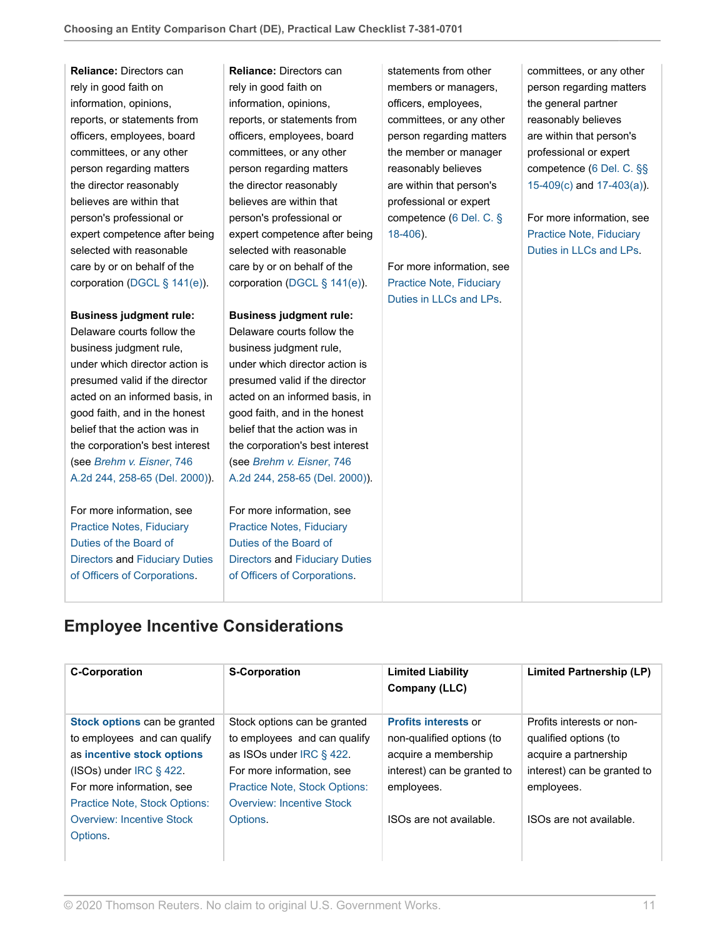**Reliance:** Directors can rely in good faith on information, opinions, reports, or statements from officers, employees, board committees, or any other person regarding matters the director reasonably believes are within that person's professional or expert competence after being selected with reasonable care by or on behalf of the corporation [\(DGCL § 141\(e\)](http://us.practicallaw.thomsonreuters.com/Link/Document/FullText?findType=L&pubNum=1000005&cite=DESTT8S141&originatingDoc=I0f9fc10cef0811e28578f7ccc38dcbee&refType=SP&originationContext=document&vr=3.0&rs=cblt1.0&transitionType=PLDocumentLink&billingHash=A9983418552CF2518EC9010432AC316FEFAD8FC0A5C7755718800D48A337009B&contextData=(sc.RelatedInfo)#co_pp_7fdd00001ca15)).

#### **Business judgment rule:**

Delaware courts follow the business judgment rule, under which director action is presumed valid if the director acted on an informed basis, in good faith, and in the honest belief that the action was in the corporation's best interest (see *[Brehm v. Eisner](http://us.practicallaw.thomsonreuters.com/Link/Document/FullText?findType=Y&serNum=2000055274&pubNum=0000162&originatingDoc=I0f9fc10cef0811e28578f7ccc38dcbee&refType=RP&fi=co_pp_sp_162_258&originationContext=document&vr=3.0&rs=cblt1.0&transitionType=PLDocumentLink&billingHash=520E0A0A8A7CD295BC1FE852656F8A9F97A62A4F938F49CF88647F50A9E01531&contextData=(sc.RelatedInfo)#co_pp_sp_162_258)*, 746 [A.2d 244, 258-65 \(Del. 2000\)\)](http://us.practicallaw.thomsonreuters.com/Link/Document/FullText?findType=Y&serNum=2000055274&pubNum=0000162&originatingDoc=I0f9fc10cef0811e28578f7ccc38dcbee&refType=RP&fi=co_pp_sp_162_258&originationContext=document&vr=3.0&rs=cblt1.0&transitionType=PLDocumentLink&billingHash=520E0A0A8A7CD295BC1FE852656F8A9F97A62A4F938F49CF88647F50A9E01531&contextData=(sc.RelatedInfo)#co_pp_sp_162_258).

For more information, see [Practice Notes, Fiduciary](http://us.practicallaw.thomsonreuters.com/Document/I1559f7a8eef211e28578f7ccc38dcbee/View/FullText.html?originationContext=document&vr=3.0&rs=cblt1.0&transitionType=DocumentItem&contextData=(sc.RelatedInfo)) [Duties of the Board of](http://us.practicallaw.thomsonreuters.com/Document/I1559f7a8eef211e28578f7ccc38dcbee/View/FullText.html?originationContext=document&vr=3.0&rs=cblt1.0&transitionType=DocumentItem&contextData=(sc.RelatedInfo)) [Directors](http://us.practicallaw.thomsonreuters.com/Document/I1559f7a8eef211e28578f7ccc38dcbee/View/FullText.html?originationContext=document&vr=3.0&rs=cblt1.0&transitionType=DocumentItem&contextData=(sc.RelatedInfo)) and [Fiduciary Duties](http://us.practicallaw.thomsonreuters.com/Document/I08b75d6792fb11e79bef99c0ee06c731/View/FullText.html?originationContext=document&vr=3.0&rs=cblt1.0&transitionType=DocumentItem&contextData=(sc.RelatedInfo)) [of Officers of Corporations](http://us.practicallaw.thomsonreuters.com/Document/I08b75d6792fb11e79bef99c0ee06c731/View/FullText.html?originationContext=document&vr=3.0&rs=cblt1.0&transitionType=DocumentItem&contextData=(sc.RelatedInfo)).

**Reliance:** Directors can rely in good faith on information, opinions, reports, or statements from officers, employees, board committees, or any other person regarding matters the director reasonably believes are within that person's professional or expert competence after being selected with reasonable care by or on behalf of the corporation [\(DGCL § 141\(e\)](http://us.practicallaw.thomsonreuters.com/Link/Document/FullText?findType=L&pubNum=1000005&cite=DESTT8S141&originatingDoc=I0f9fc10cef0811e28578f7ccc38dcbee&refType=SP&originationContext=document&vr=3.0&rs=cblt1.0&transitionType=PLDocumentLink&billingHash=A9983418552CF2518EC9010432AC316FEFAD8FC0A5C7755718800D48A337009B&contextData=(sc.RelatedInfo)#co_pp_7fdd00001ca15)).

#### **Business judgment rule:**

Delaware courts follow the business judgment rule, under which director action is presumed valid if the director acted on an informed basis, in good faith, and in the honest belief that the action was in the corporation's best interest (see *[Brehm v. Eisner](http://us.practicallaw.thomsonreuters.com/Link/Document/FullText?findType=Y&serNum=2000055274&pubNum=0000162&originatingDoc=I0f9fc10cef0811e28578f7ccc38dcbee&refType=RP&fi=co_pp_sp_162_258&originationContext=document&vr=3.0&rs=cblt1.0&transitionType=PLDocumentLink&billingHash=520E0A0A8A7CD295BC1FE852656F8A9F97A62A4F938F49CF88647F50A9E01531&contextData=(sc.RelatedInfo)#co_pp_sp_162_258)*, 746 [A.2d 244, 258-65 \(Del. 2000\)\)](http://us.practicallaw.thomsonreuters.com/Link/Document/FullText?findType=Y&serNum=2000055274&pubNum=0000162&originatingDoc=I0f9fc10cef0811e28578f7ccc38dcbee&refType=RP&fi=co_pp_sp_162_258&originationContext=document&vr=3.0&rs=cblt1.0&transitionType=PLDocumentLink&billingHash=520E0A0A8A7CD295BC1FE852656F8A9F97A62A4F938F49CF88647F50A9E01531&contextData=(sc.RelatedInfo)#co_pp_sp_162_258).

For more information, see [Practice Notes, Fiduciary](http://us.practicallaw.thomsonreuters.com/Document/I1559f7a8eef211e28578f7ccc38dcbee/View/FullText.html?originationContext=document&vr=3.0&rs=cblt1.0&transitionType=DocumentItem&contextData=(sc.RelatedInfo)) [Duties of the Board of](http://us.practicallaw.thomsonreuters.com/Document/I1559f7a8eef211e28578f7ccc38dcbee/View/FullText.html?originationContext=document&vr=3.0&rs=cblt1.0&transitionType=DocumentItem&contextData=(sc.RelatedInfo)) [Directors](http://us.practicallaw.thomsonreuters.com/Document/I1559f7a8eef211e28578f7ccc38dcbee/View/FullText.html?originationContext=document&vr=3.0&rs=cblt1.0&transitionType=DocumentItem&contextData=(sc.RelatedInfo)) and [Fiduciary Duties](http://us.practicallaw.thomsonreuters.com/Document/I08b75d6792fb11e79bef99c0ee06c731/View/FullText.html?originationContext=document&vr=3.0&rs=cblt1.0&transitionType=DocumentItem&contextData=(sc.RelatedInfo)) [of Officers of Corporations](http://us.practicallaw.thomsonreuters.com/Document/I08b75d6792fb11e79bef99c0ee06c731/View/FullText.html?originationContext=document&vr=3.0&rs=cblt1.0&transitionType=DocumentItem&contextData=(sc.RelatedInfo)).

statements from other members or managers, officers, employees, committees, or any other person regarding matters the member or manager reasonably believes are within that person's professional or expert competence [\(6 Del. C. §](http://us.practicallaw.thomsonreuters.com/Link/Document/FullText?findType=L&pubNum=1000005&cite=DESTT6S18-406&originatingDoc=I0f9fc10cef0811e28578f7ccc38dcbee&refType=LQ&originationContext=document&vr=3.0&rs=cblt1.0&transitionType=PLDocumentLink&billingHash=52E390C0212BC3B6FE2E7EAD8B147E5349B6C1997E12228EF70EBD6E12B912DD&contextData=(sc.RelatedInfo)) [18-406\)](http://us.practicallaw.thomsonreuters.com/Link/Document/FullText?findType=L&pubNum=1000005&cite=DESTT6S18-406&originatingDoc=I0f9fc10cef0811e28578f7ccc38dcbee&refType=LQ&originationContext=document&vr=3.0&rs=cblt1.0&transitionType=PLDocumentLink&billingHash=52E390C0212BC3B6FE2E7EAD8B147E5349B6C1997E12228EF70EBD6E12B912DD&contextData=(sc.RelatedInfo)).

For more information, see [Practice Note, Fiduciary](http://us.practicallaw.thomsonreuters.com/Document/I2894ed2ddba311e8a5b3e3d9e23d7429/View/FullText.html?originationContext=document&vr=3.0&rs=cblt1.0&transitionType=DocumentItem&contextData=(sc.RelatedInfo)) [Duties in LLCs and LPs.](http://us.practicallaw.thomsonreuters.com/Document/I2894ed2ddba311e8a5b3e3d9e23d7429/View/FullText.html?originationContext=document&vr=3.0&rs=cblt1.0&transitionType=DocumentItem&contextData=(sc.RelatedInfo))

committees, or any other person regarding matters the general partner reasonably believes are within that person's professional or expert competence [\(6 Del. C. §§](http://us.practicallaw.thomsonreuters.com/Link/Document/FullText?findType=L&pubNum=1000005&cite=DESTT6S15-409&originatingDoc=I0f9fc10cef0811e28578f7ccc38dcbee&refType=SP&originationContext=document&vr=3.0&rs=cblt1.0&transitionType=PLDocumentLink&billingHash=C9A7B52FD134157B0A6AD9E9F72996FEF9FEFCCDB271E4ED062E20BAA0AB98E2&contextData=(sc.RelatedInfo)#co_pp_4b24000003ba5) [15-409\(c\)](http://us.practicallaw.thomsonreuters.com/Link/Document/FullText?findType=L&pubNum=1000005&cite=DESTT6S15-409&originatingDoc=I0f9fc10cef0811e28578f7ccc38dcbee&refType=SP&originationContext=document&vr=3.0&rs=cblt1.0&transitionType=PLDocumentLink&billingHash=C9A7B52FD134157B0A6AD9E9F72996FEF9FEFCCDB271E4ED062E20BAA0AB98E2&contextData=(sc.RelatedInfo)#co_pp_4b24000003ba5) and [17-403\(a\)](http://us.practicallaw.thomsonreuters.com/Link/Document/FullText?findType=L&pubNum=1000005&cite=DESTT6S17-403&originatingDoc=I0f9fc10cef0811e28578f7ccc38dcbee&refType=SP&originationContext=document&vr=3.0&rs=cblt1.0&transitionType=PLDocumentLink&billingHash=C8C5A374FC5C5D67E4A4450046F48E86CF0F8B9D93C726E6895CB94CA1B19212&contextData=(sc.RelatedInfo)#co_pp_8b3b0000958a4)).

For more information, see [Practice Note, Fiduciary](http://us.practicallaw.thomsonreuters.com/Document/I2894ed2ddba311e8a5b3e3d9e23d7429/View/FullText.html?originationContext=document&vr=3.0&rs=cblt1.0&transitionType=DocumentItem&contextData=(sc.RelatedInfo)) [Duties in LLCs and LPs.](http://us.practicallaw.thomsonreuters.com/Document/I2894ed2ddba311e8a5b3e3d9e23d7429/View/FullText.html?originationContext=document&vr=3.0&rs=cblt1.0&transitionType=DocumentItem&contextData=(sc.RelatedInfo))

### <span id="page-10-0"></span>**Employee Incentive Considerations**

| <b>C-Corporation</b>                 | <b>S-Corporation</b>                 | <b>Limited Liability</b><br>Company (LLC) | <b>Limited Partnership (LP)</b> |
|--------------------------------------|--------------------------------------|-------------------------------------------|---------------------------------|
| Stock options can be granted         | Stock options can be granted         | <b>Profits interests or</b>               | Profits interests or non-       |
| to employees and can qualify         | to employees and can qualify         | non-qualified options (to                 | qualified options (to           |
| as incentive stock options           | as ISOs under IRC § 422.             | acquire a membership                      | acquire a partnership           |
| $(ISOs)$ under IRC § 422.            | For more information, see            | interest) can be granted to               | interest) can be granted to     |
| For more information, see            | <b>Practice Note, Stock Options:</b> | employees.                                | employees.                      |
| <b>Practice Note, Stock Options:</b> | <b>Overview: Incentive Stock</b>     |                                           |                                 |
| <b>Overview: Incentive Stock</b>     | Options.                             | ISOs are not available.                   | ISOs are not available.         |
| Options.                             |                                      |                                           |                                 |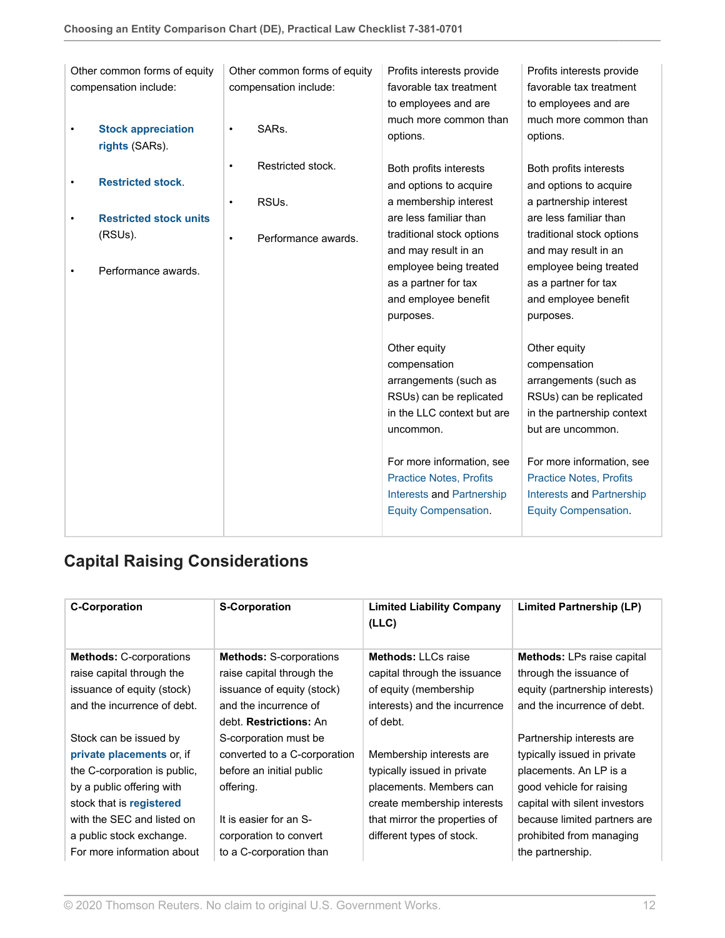|   | Other common forms of equity                |           | Other common forms of equity | Profits interests provide         | Profits interests provide         |
|---|---------------------------------------------|-----------|------------------------------|-----------------------------------|-----------------------------------|
|   | compensation include:                       |           | compensation include:        | favorable tax treatment           | favorable tax treatment           |
|   |                                             |           |                              | to employees and are              | to employees and are              |
| ٠ | <b>Stock appreciation</b><br>rights (SARs). | $\bullet$ | SARs.                        | much more common than<br>options. | much more common than<br>options. |
|   |                                             | $\bullet$ | Restricted stock.            | Both profits interests            | Both profits interests            |
| ٠ | <b>Restricted stock.</b>                    |           |                              | and options to acquire            | and options to acquire            |
|   |                                             | $\bullet$ | RSUs.                        | a membership interest             | a partnership interest            |
| ٠ | <b>Restricted stock units</b>               |           |                              | are less familiar than            | are less familiar than            |
|   | (RSUs).                                     | $\bullet$ | Performance awards.          | traditional stock options         | traditional stock options         |
|   |                                             |           |                              | and may result in an              | and may result in an              |
| ٠ | Performance awards.                         |           |                              | employee being treated            | employee being treated            |
|   |                                             |           |                              | as a partner for tax              | as a partner for tax              |
|   |                                             |           |                              | and employee benefit              | and employee benefit              |
|   |                                             |           |                              | purposes.                         | purposes.                         |
|   |                                             |           |                              | Other equity                      | Other equity                      |
|   |                                             |           |                              | compensation                      | compensation                      |
|   |                                             |           |                              | arrangements (such as             | arrangements (such as             |
|   |                                             |           |                              | RSUs) can be replicated           | RSUs) can be replicated           |
|   |                                             |           |                              | in the LLC context but are        |                                   |
|   |                                             |           |                              |                                   | in the partnership context        |
|   |                                             |           |                              | uncommon.                         | but are uncommon.                 |
|   |                                             |           |                              | For more information, see         | For more information, see         |
|   |                                             |           |                              | <b>Practice Notes, Profits</b>    | <b>Practice Notes, Profits</b>    |
|   |                                             |           |                              | <b>Interests and Partnership</b>  | <b>Interests and Partnership</b>  |
|   |                                             |           |                              | <b>Equity Compensation.</b>       | <b>Equity Compensation.</b>       |
|   |                                             |           |                              |                                   |                                   |

## <span id="page-11-0"></span>**Capital Raising Considerations**

| <b>C-Corporation</b>           | <b>S-Corporation</b>           | <b>Limited Liability Company</b><br>(LLC) | Limited Partnership (LP)          |
|--------------------------------|--------------------------------|-------------------------------------------|-----------------------------------|
| <b>Methods: C-corporations</b> | <b>Methods: S-corporations</b> | <b>Methods: LLCs raise</b>                | <b>Methods:</b> LPs raise capital |
| raise capital through the      | raise capital through the      | capital through the issuance              | through the issuance of           |
| issuance of equity (stock)     | issuance of equity (stock)     | of equity (membership)                    | equity (partnership interests)    |
| and the incurrence of debt.    | and the incurrence of          | interests) and the incurrence             | and the incurrence of debt.       |
|                                | debt. Restrictions: An         | of debt.                                  |                                   |
| Stock can be issued by         | S-corporation must be          |                                           | Partnership interests are         |
| private placements or, if      | converted to a C-corporation   | Membership interests are.                 | typically issued in private       |
| the C-corporation is public,   | before an initial public       | typically issued in private               | placements. An LP is a            |
| by a public offering with      | offering.                      | placements. Members can                   | good vehicle for raising          |
| stock that is registered       |                                | create membership interests               | capital with silent investors     |
| with the SEC and listed on     | It is easier for an S-         | that mirror the properties of             | because limited partners are      |
| a public stock exchange.       | corporation to convert         | different types of stock.                 | prohibited from managing          |
| For more information about     | to a C-corporation than        |                                           | the partnership.                  |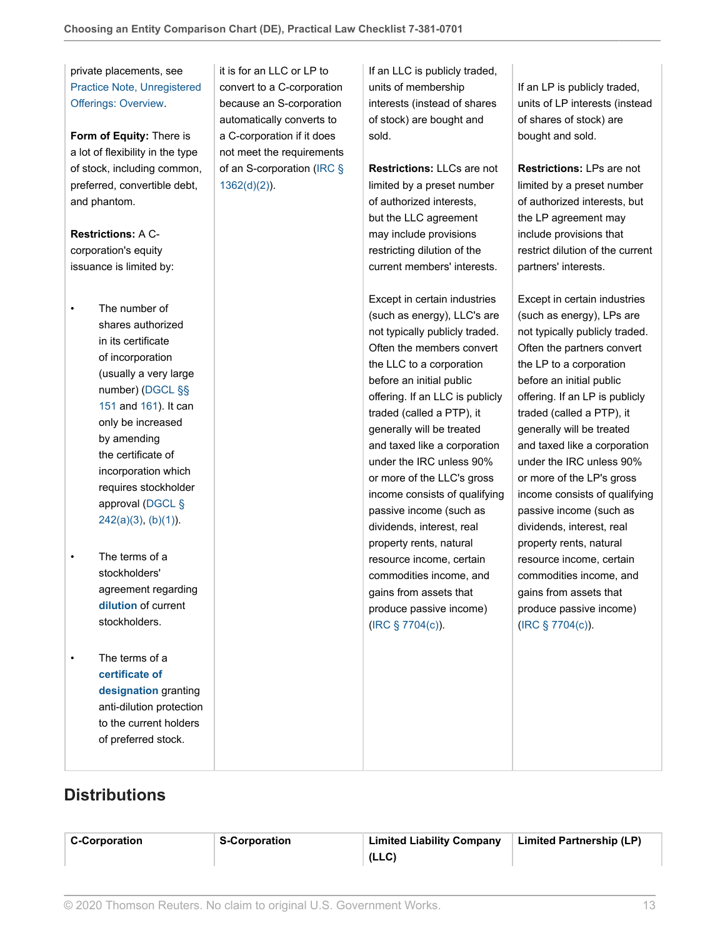private placements, see [Practice Note, Unregistered](http://us.practicallaw.thomsonreuters.com/Document/Ibb0a140aef0511e28578f7ccc38dcbee/View/FullText.html?originationContext=document&vr=3.0&rs=cblt1.0&transitionType=DocumentItem&contextData=(sc.RelatedInfo)) [Offerings: Overview](http://us.practicallaw.thomsonreuters.com/Document/Ibb0a140aef0511e28578f7ccc38dcbee/View/FullText.html?originationContext=document&vr=3.0&rs=cblt1.0&transitionType=DocumentItem&contextData=(sc.RelatedInfo)).

**Form of Equity:** There is a lot of flexibility in the type of stock, including common, preferred, convertible debt, and phantom.

**Restrictions:** A Ccorporation's equity issuance is limited by:

• The number of shares authorized in its certificate of incorporation (usually a very large number) ([DGCL §§](http://us.practicallaw.thomsonreuters.com/Link/Document/FullText?findType=L&pubNum=1000005&cite=DESTT8S151&originatingDoc=I0f9fc10cef0811e28578f7ccc38dcbee&refType=LQ&originationContext=document&vr=3.0&rs=cblt1.0&transitionType=PLDocumentLink&billingHash=328F8867A5794646002146BA46177B3F27C49E7AE6B89B8AAACD5B8D640BEB86&contextData=(sc.RelatedInfo)) [151](http://us.practicallaw.thomsonreuters.com/Link/Document/FullText?findType=L&pubNum=1000005&cite=DESTT8S151&originatingDoc=I0f9fc10cef0811e28578f7ccc38dcbee&refType=LQ&originationContext=document&vr=3.0&rs=cblt1.0&transitionType=PLDocumentLink&billingHash=328F8867A5794646002146BA46177B3F27C49E7AE6B89B8AAACD5B8D640BEB86&contextData=(sc.RelatedInfo)) and [161\)](http://us.practicallaw.thomsonreuters.com/Link/Document/FullText?findType=L&pubNum=1000005&cite=DESTT8S161&originatingDoc=I0f9fc10cef0811e28578f7ccc38dcbee&refType=LQ&originationContext=document&vr=3.0&rs=cblt1.0&transitionType=PLDocumentLink&billingHash=6DE7D1A199CAFD50F2853B9271DA99C21D068CE980FB8E73177864FF76E16D87&contextData=(sc.RelatedInfo)). It can only be increased by amending the certificate of incorporation which requires stockholder approval ([DGCL §](http://us.practicallaw.thomsonreuters.com/Link/Document/FullText?findType=L&pubNum=1000005&cite=DESTT8S242&originatingDoc=I0f9fc10cef0811e28578f7ccc38dcbee&refType=SP&originationContext=document&vr=3.0&rs=cblt1.0&transitionType=PLDocumentLink&billingHash=DA998A648809A5798B41A69C8C3C52A813CF1FB97EB32D191ADD943029C7DA13&contextData=(sc.RelatedInfo)#co_pp_28cc0000ccca6)  $242(a)(3)$ , [\(b\)\(1\)\)](http://us.practicallaw.thomsonreuters.com/Link/Document/FullText?findType=L&pubNum=1000005&cite=DESTT8S242&originatingDoc=I0f9fc10cef0811e28578f7ccc38dcbee&refType=SP&originationContext=document&vr=3.0&rs=cblt1.0&transitionType=PLDocumentLink&billingHash=DA998A648809A5798B41A69C8C3C52A813CF1FB97EB32D191ADD943029C7DA13&contextData=(sc.RelatedInfo)#co_pp_3fed000053a85).

- The terms of a stockholders' agreement regarding **[dilution](http://us.practicallaw.thomsonreuters.com/Document/I59dcc06bef2a11e28578f7ccc38dcbee/View/FullText.html?originationContext=document&vr=3.0&rs=cblt1.0&transitionType=DocumentItem&contextData=(sc.RelatedInfo))** of current stockholders.
- The terms of a **[certificate of](http://us.practicallaw.thomsonreuters.com/Document/I0f9fc182ef0811e28578f7ccc38dcbee/View/FullText.html?originationContext=document&vr=3.0&rs=cblt1.0&transitionType=DocumentItem&contextData=(sc.RelatedInfo)) [designation](http://us.practicallaw.thomsonreuters.com/Document/I0f9fc182ef0811e28578f7ccc38dcbee/View/FullText.html?originationContext=document&vr=3.0&rs=cblt1.0&transitionType=DocumentItem&contextData=(sc.RelatedInfo))** granting anti-dilution protection to the current holders of preferred stock.

it is for an LLC or LP to convert to a C-corporation because an S-corporation automatically converts to a C-corporation if it does not meet the requirements of an S-corporation ([IRC §](http://us.practicallaw.thomsonreuters.com/Link/Document/FullText?findType=L&pubNum=1012823&cite=26USCAS1362&originatingDoc=I0f9fc10cef0811e28578f7ccc38dcbee&refType=SP&originationContext=document&vr=3.0&rs=cblt1.0&transitionType=PLDocumentLink&billingHash=56BC3DCE57AA163C8A4DFEF6CDA9B65A27557251DCEE3847D7226E252FF76008&contextData=(sc.RelatedInfo)#co_pp_4be3000003be5) [1362\(d\)\(2\)\)](http://us.practicallaw.thomsonreuters.com/Link/Document/FullText?findType=L&pubNum=1012823&cite=26USCAS1362&originatingDoc=I0f9fc10cef0811e28578f7ccc38dcbee&refType=SP&originationContext=document&vr=3.0&rs=cblt1.0&transitionType=PLDocumentLink&billingHash=56BC3DCE57AA163C8A4DFEF6CDA9B65A27557251DCEE3847D7226E252FF76008&contextData=(sc.RelatedInfo)#co_pp_4be3000003be5).

If an LLC is publicly traded, units of membership interests (instead of shares of stock) are bought and sold.

**Restrictions:** LLCs are not limited by a preset number of authorized interests, but the LLC agreement may include provisions restricting dilution of the current members' interests.

Except in certain industries (such as energy), LLC's are not typically publicly traded. Often the members convert the LLC to a corporation before an initial public offering. If an LLC is publicly traded (called a PTP), it generally will be treated and taxed like a corporation under the IRC unless 90% or more of the LLC's gross income consists of qualifying passive income (such as dividends, interest, real property rents, natural resource income, certain commodities income, and gains from assets that produce passive income) ([IRC § 7704\(c\)\)](http://us.practicallaw.thomsonreuters.com/Link/Document/FullText?findType=L&pubNum=1012823&cite=26USCAS7704&originatingDoc=I0f9fc10cef0811e28578f7ccc38dcbee&refType=SP&originationContext=document&vr=3.0&rs=cblt1.0&transitionType=PLDocumentLink&billingHash=ADB984AD1F8114E9A769798CB9FCAC195472C0383EA1AD0B78373DA5882E0C5D&contextData=(sc.RelatedInfo)#co_pp_4b24000003ba5).

If an LP is publicly traded, units of LP interests (instead of shares of stock) are bought and sold.

**Restrictions:** LPs are not limited by a preset number of authorized interests, but the LP agreement may include provisions that restrict dilution of the current partners' interests.

Except in certain industries (such as energy), LPs are not typically publicly traded. Often the partners convert the LP to a corporation before an initial public offering. If an LP is publicly traded (called a PTP), it generally will be treated and taxed like a corporation under the IRC unless 90% or more of the LP's gross income consists of qualifying passive income (such as dividends, interest, real property rents, natural resource income, certain commodities income, and gains from assets that produce passive income) ([IRC § 7704\(c\)\)](http://us.practicallaw.thomsonreuters.com/Link/Document/FullText?findType=L&pubNum=1012823&cite=26USCAS7704&originatingDoc=I0f9fc10cef0811e28578f7ccc38dcbee&refType=SP&originationContext=document&vr=3.0&rs=cblt1.0&transitionType=PLDocumentLink&billingHash=ADB984AD1F8114E9A769798CB9FCAC195472C0383EA1AD0B78373DA5882E0C5D&contextData=(sc.RelatedInfo)#co_pp_4b24000003ba5).

### <span id="page-12-0"></span>**Distributions**

| <b>C-Corporation</b> | <b>S-Corporation</b> | <b>Limited Liability Company</b> | Limited Partnership (LP) |
|----------------------|----------------------|----------------------------------|--------------------------|
|                      |                      | (LLC)                            |                          |
|                      |                      |                                  |                          |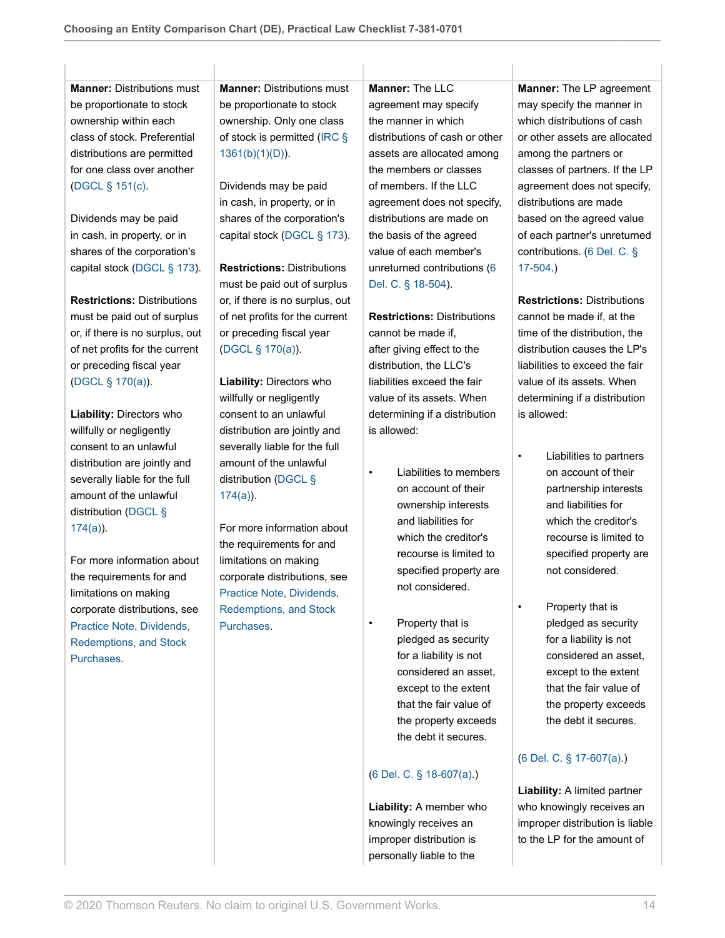**Manner:** Distributions must be proportionate to stock ownership within each class of stock. Preferential distributions are permitted for one class over another ([DGCL § 151\(c\)](http://us.practicallaw.thomsonreuters.com/Link/Document/FullText?findType=L&pubNum=1000005&cite=DESTT8S151&originatingDoc=I0f9fc10cef0811e28578f7ccc38dcbee&refType=SP&originationContext=document&vr=3.0&rs=cblt1.0&transitionType=PLDocumentLink&billingHash=328F8867A5794646002146BA46177B3F27C49E7AE6B89B8AAACD5B8D640BEB86&contextData=(sc.RelatedInfo)#co_pp_4b24000003ba5).

Dividends may be paid in cash, in property, or in shares of the corporation's capital stock ([DGCL § 173\)](http://us.practicallaw.thomsonreuters.com/Link/Document/FullText?findType=L&pubNum=1000005&cite=DESTT8S173&originatingDoc=I0f9fc10cef0811e28578f7ccc38dcbee&refType=LQ&originationContext=document&vr=3.0&rs=cblt1.0&transitionType=PLDocumentLink&billingHash=6A9377615DCFEF651230903966791280E191D4A6166621A31642C168F758D4F3&contextData=(sc.RelatedInfo)).

**Restrictions:** Distributions must be paid out of surplus or, if there is no surplus, out of net profits for the current or preceding fiscal year ([DGCL § 170\(a\)\)](http://us.practicallaw.thomsonreuters.com/Link/Document/FullText?findType=L&pubNum=1000005&cite=DESTT8S170&originatingDoc=I0f9fc10cef0811e28578f7ccc38dcbee&refType=SP&originationContext=document&vr=3.0&rs=cblt1.0&transitionType=PLDocumentLink&billingHash=E81B4745701F4059976B62C11F8BC55E5B838CA07BD5E94FAD606689F05FBABC&contextData=(sc.RelatedInfo)#co_pp_8b3b0000958a4).

**Liability:** Directors who willfully or negligently consent to an unlawful distribution are jointly and severally liable for the full amount of the unlawful distribution ([DGCL §](http://us.practicallaw.thomsonreuters.com/Link/Document/FullText?findType=L&pubNum=1000005&cite=DESTT8S174&originatingDoc=I0f9fc10cef0811e28578f7ccc38dcbee&refType=SP&originationContext=document&vr=3.0&rs=cblt1.0&transitionType=PLDocumentLink&billingHash=9341C1AF5FAB65F6619ED429E920C685A8D295DD85A8150EB1DEC4BD8279FB00&contextData=(sc.RelatedInfo)#co_pp_8b3b0000958a4) [174\(a\)\)](http://us.practicallaw.thomsonreuters.com/Link/Document/FullText?findType=L&pubNum=1000005&cite=DESTT8S174&originatingDoc=I0f9fc10cef0811e28578f7ccc38dcbee&refType=SP&originationContext=document&vr=3.0&rs=cblt1.0&transitionType=PLDocumentLink&billingHash=9341C1AF5FAB65F6619ED429E920C685A8D295DD85A8150EB1DEC4BD8279FB00&contextData=(sc.RelatedInfo)#co_pp_8b3b0000958a4).

For more information about the requirements for and limitations on making corporate distributions, see [Practice Note, Dividends,](http://us.practicallaw.thomsonreuters.com/Document/I0fa00c3bef0811e28578f7ccc38dcbee/View/FullText.html?originationContext=document&vr=3.0&rs=cblt1.0&transitionType=DocumentItem&contextData=(sc.RelatedInfo)) [Redemptions, and Stock](http://us.practicallaw.thomsonreuters.com/Document/I0fa00c3bef0811e28578f7ccc38dcbee/View/FullText.html?originationContext=document&vr=3.0&rs=cblt1.0&transitionType=DocumentItem&contextData=(sc.RelatedInfo)) [Purchases](http://us.practicallaw.thomsonreuters.com/Document/I0fa00c3bef0811e28578f7ccc38dcbee/View/FullText.html?originationContext=document&vr=3.0&rs=cblt1.0&transitionType=DocumentItem&contextData=(sc.RelatedInfo)).

**Manner:** Distributions must be proportionate to stock ownership. Only one class of stock is permitted [\(IRC §](http://us.practicallaw.thomsonreuters.com/Link/Document/FullText?findType=L&pubNum=1012823&cite=26USCAS1361&originatingDoc=I0f9fc10cef0811e28578f7ccc38dcbee&refType=SP&originationContext=document&vr=3.0&rs=cblt1.0&transitionType=PLDocumentLink&billingHash=1047359E2F852F9A38B243A9CB93FACCD2BB3CA04ABF48A8E9E750917827A8A6&contextData=(sc.RelatedInfo)#co_pp_c0ec0000e3522) [1361\(b\)\(1\)\(D\)](http://us.practicallaw.thomsonreuters.com/Link/Document/FullText?findType=L&pubNum=1012823&cite=26USCAS1361&originatingDoc=I0f9fc10cef0811e28578f7ccc38dcbee&refType=SP&originationContext=document&vr=3.0&rs=cblt1.0&transitionType=PLDocumentLink&billingHash=1047359E2F852F9A38B243A9CB93FACCD2BB3CA04ABF48A8E9E750917827A8A6&contextData=(sc.RelatedInfo)#co_pp_c0ec0000e3522)).

Dividends may be paid in cash, in property, or in shares of the corporation's capital stock ([DGCL § 173\)](http://us.practicallaw.thomsonreuters.com/Link/Document/FullText?findType=L&pubNum=1000005&cite=DESTT8S173&originatingDoc=I0f9fc10cef0811e28578f7ccc38dcbee&refType=LQ&originationContext=document&vr=3.0&rs=cblt1.0&transitionType=PLDocumentLink&billingHash=6A9377615DCFEF651230903966791280E191D4A6166621A31642C168F758D4F3&contextData=(sc.RelatedInfo)).

**Restrictions:** Distributions must be paid out of surplus or, if there is no surplus, out of net profits for the current or preceding fiscal year ([DGCL § 170\(a\)\)](http://us.practicallaw.thomsonreuters.com/Link/Document/FullText?findType=L&pubNum=1000005&cite=DESTT8S170&originatingDoc=I0f9fc10cef0811e28578f7ccc38dcbee&refType=SP&originationContext=document&vr=3.0&rs=cblt1.0&transitionType=PLDocumentLink&billingHash=E81B4745701F4059976B62C11F8BC55E5B838CA07BD5E94FAD606689F05FBABC&contextData=(sc.RelatedInfo)#co_pp_8b3b0000958a4).

**Liability:** Directors who willfully or negligently consent to an unlawful distribution are jointly and severally liable for the full amount of the unlawful distribution ([DGCL §](http://us.practicallaw.thomsonreuters.com/Link/Document/FullText?findType=L&pubNum=1000005&cite=DESTT8S174&originatingDoc=I0f9fc10cef0811e28578f7ccc38dcbee&refType=SP&originationContext=document&vr=3.0&rs=cblt1.0&transitionType=PLDocumentLink&billingHash=9341C1AF5FAB65F6619ED429E920C685A8D295DD85A8150EB1DEC4BD8279FB00&contextData=(sc.RelatedInfo)#co_pp_8b3b0000958a4) [174\(a\)\)](http://us.practicallaw.thomsonreuters.com/Link/Document/FullText?findType=L&pubNum=1000005&cite=DESTT8S174&originatingDoc=I0f9fc10cef0811e28578f7ccc38dcbee&refType=SP&originationContext=document&vr=3.0&rs=cblt1.0&transitionType=PLDocumentLink&billingHash=9341C1AF5FAB65F6619ED429E920C685A8D295DD85A8150EB1DEC4BD8279FB00&contextData=(sc.RelatedInfo)#co_pp_8b3b0000958a4).

For more information about the requirements for and limitations on making corporate distributions, see [Practice Note, Dividends,](http://us.practicallaw.thomsonreuters.com/Document/I0fa00c3bef0811e28578f7ccc38dcbee/View/FullText.html?originationContext=document&vr=3.0&rs=cblt1.0&transitionType=DocumentItem&contextData=(sc.RelatedInfo)) [Redemptions, and Stock](http://us.practicallaw.thomsonreuters.com/Document/I0fa00c3bef0811e28578f7ccc38dcbee/View/FullText.html?originationContext=document&vr=3.0&rs=cblt1.0&transitionType=DocumentItem&contextData=(sc.RelatedInfo)) [Purchases](http://us.practicallaw.thomsonreuters.com/Document/I0fa00c3bef0811e28578f7ccc38dcbee/View/FullText.html?originationContext=document&vr=3.0&rs=cblt1.0&transitionType=DocumentItem&contextData=(sc.RelatedInfo)).

**Manner: The LLC** agreement may specify the manner in which distributions of cash or other assets are allocated among the members or classes of members. If the LLC agreement does not specify, distributions are made on the basis of the agreed value of each member's unreturned contributions [\(6](http://us.practicallaw.thomsonreuters.com/Link/Document/FullText?findType=L&pubNum=1000005&cite=DESTT6S18-504&originatingDoc=I0f9fc10cef0811e28578f7ccc38dcbee&refType=LQ&originationContext=document&vr=3.0&rs=cblt1.0&transitionType=PLDocumentLink&billingHash=8358C6C71497BDDFD0C96F4244DA8BECBE58856F90B0AD9893699ECECF57E917&contextData=(sc.RelatedInfo)) [Del. C. § 18-504](http://us.practicallaw.thomsonreuters.com/Link/Document/FullText?findType=L&pubNum=1000005&cite=DESTT6S18-504&originatingDoc=I0f9fc10cef0811e28578f7ccc38dcbee&refType=LQ&originationContext=document&vr=3.0&rs=cblt1.0&transitionType=PLDocumentLink&billingHash=8358C6C71497BDDFD0C96F4244DA8BECBE58856F90B0AD9893699ECECF57E917&contextData=(sc.RelatedInfo))).

**Restrictions:** Distributions cannot be made if, after giving effect to the distribution, the LLC's liabilities exceed the fair value of its assets. When determining if a distribution is allowed:

- Liabilities to members on account of their ownership interests and liabilities for which the creditor's recourse is limited to specified property are not considered.
	- Property that is pledged as security for a liability is not considered an asset, except to the extent that the fair value of the property exceeds the debt it secures.

### ([6 Del. C. § 18-607\(a\).](https://1.next.westlaw.com/Link/Document/FullText?findType=L&pubNum=1000005&cite=DESTT6S18-607&originatingDoc=I739d2583c07a11e698dc8b09b4f043e0&refType=SP&originationContext=document&transitionType=PLDocumentLink&billingHash=06FB496E57EC6715ADF2A92E3497371F96349C7FA0A74A007D528C762B887962&contextData=(sc.Keycite)#co_pp_8b3b0000958a4 ))

**Liability:** A member who knowingly receives an improper distribution is personally liable to the

**Manner:** The LP agreement may specify the manner in which distributions of cash or other assets are allocated among the partners or classes of partners. If the LP agreement does not specify, distributions are made based on the agreed value of each partner's unreturned contributions. ([6 Del. C. §](http://us.practicallaw.thomsonreuters.com/Link/Document/FullText?findType=L&pubNum=1000005&cite=DESTT6S17-504&originatingDoc=I0f9fc10cef0811e28578f7ccc38dcbee&refType=LQ&originationContext=document&vr=3.0&rs=cblt1.0&transitionType=PLDocumentLink&billingHash=1D31B85DEC3AC401EAE2F0AE8791FEF7B2923116D8461959D046F2901C21A413&contextData=(sc.RelatedInfo)) [17-504.](http://us.practicallaw.thomsonreuters.com/Link/Document/FullText?findType=L&pubNum=1000005&cite=DESTT6S17-504&originatingDoc=I0f9fc10cef0811e28578f7ccc38dcbee&refType=LQ&originationContext=document&vr=3.0&rs=cblt1.0&transitionType=PLDocumentLink&billingHash=1D31B85DEC3AC401EAE2F0AE8791FEF7B2923116D8461959D046F2901C21A413&contextData=(sc.RelatedInfo)))

**Restrictions:** Distributions cannot be made if, at the time of the distribution, the distribution causes the LP's liabilities to exceed the fair value of its assets. When determining if a distribution is allowed:

- Liabilities to partners on account of their partnership interests and liabilities for which the creditor's recourse is limited to specified property are not considered.
- Property that is pledged as security for a liability is not considered an asset, except to the extent that the fair value of the property exceeds the debt it secures.

### ([6 Del. C. § 17-607\(a\).](http://us.practicallaw.thomsonreuters.com/Link/Document/FullText?findType=L&pubNum=1000005&cite=DESTT6S17-607&originatingDoc=I0f9fc10cef0811e28578f7ccc38dcbee&refType=SP&originationContext=document&vr=3.0&rs=cblt1.0&transitionType=PLDocumentLink&billingHash=AEBAE77AACCB90CA42914557959FB98A3A2436D5E39B6DCB84ABF1F8E10262B5&contextData=(sc.RelatedInfo)#co_pp_8b3b0000958a4))

**Liability:** A limited partner who knowingly receives an improper distribution is liable to the LP for the amount of